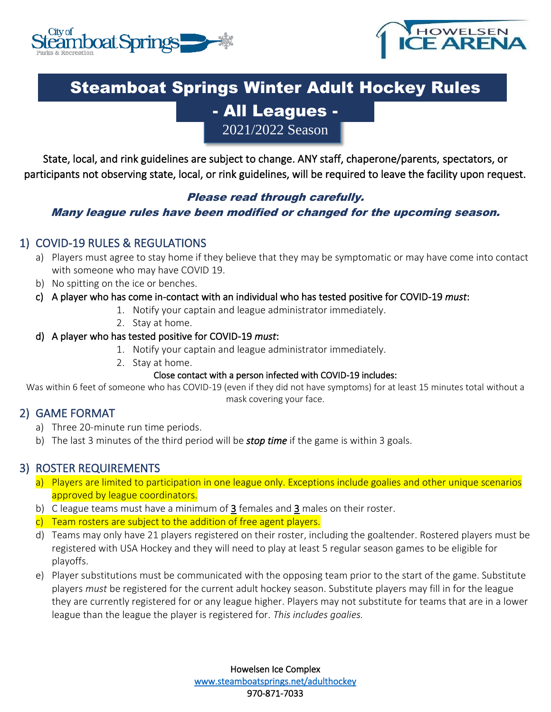



# Steamboat Springs Winter Adult Hockey Rules

## - All Leagues - 2021/2022 Season

State, local, and rink guidelines are subject to change. ANY staff, chaperone/parents, spectators, or participants not observing state, local, or rink guidelines, will be required to leave the facility upon request.

#### Please read through carefully.

#### Many league rules have been modified or changed for the upcoming season.

#### 1) COVID-19 RULES & REGULATIONS

- a) Players must agree to stay home if they believe that they may be symptomatic or may have come into contact with someone who may have COVID 19.
- b) No spitting on the ice or benches.
- c) A player who has come in-contact with an individual who has tested positive for COVID-19 *must*:
	- 1. Notify your captain and league administrator immediately.
	- 2. Stay at home.

#### d) A player who has tested positive for COVID-19 *must*:

- 1. Notify your captain and league administrator immediately.
- 2. Stay at home.

#### Close contact with a person infected with COVID-19 includes:

Was within 6 feet of someone who has COVID-19 (even if they did not have symptoms) for at least 15 minutes total without a mask covering your face.

#### 2) GAME FORMAT

- a) Three 20-minute run time periods.
- b) The last 3 minutes of the third period will be *stop time* if the game is within 3 goals.

#### 3) ROSTER REQUIREMENTS

- a) Players are limited to participation in one league only. Exceptions include goalies and other unique scenarios approved by league coordinators.
- b) C league teams must have a minimum of 3 females and 3 males on their roster.
- c) Team rosters are subject to the addition of free agent players.
- d) Teams may only have 21 players registered on their roster, including the goaltender. Rostered players must be registered with USA Hockey and they will need to play at least 5 regular season games to be eligible for playoffs.
- e) Player substitutions must be communicated with the opposing team prior to the start of the game. Substitute players *must* be registered for the current adult hockey season. Substitute players may fill in for the league they are currently registered for or any league higher. Players may not substitute for teams that are in a lower league than the league the player is registered for. *This includes goalies.*

Howelsen Ice Complex [www.steamboatsprings.net/adulthockey](http://www.steamboatsprings.net/adulthockey)  970-871-7033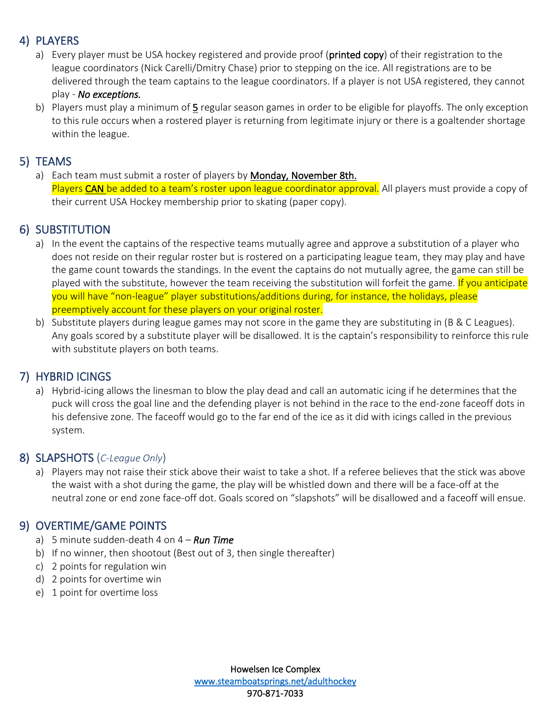### 4) PLAYERS

- a) Every player must be USA hockey registered and provide proof (printed copy) of their registration to the league coordinators (Nick Carelli/Dmitry Chase) prior to stepping on the ice. All registrations are to be delivered through the team captains to the league coordinators. If a player is not USA registered, they cannot play - *No exceptions.*
- b) Players must play a minimum of 5 regular season games in order to be eligible for playoffs. The only exception to this rule occurs when a rostered player is returning from legitimate injury or there is a goaltender shortage within the league.

#### 5) TEAMS

a) Each team must submit a roster of players by Monday, November 8th. Players CAN be added to a team's roster upon league coordinator approval. All players must provide a copy of their current USA Hockey membership prior to skating (paper copy).

#### 6) SUBSTITUTION

- a) In the event the captains of the respective teams mutually agree and approve a substitution of a player who does not reside on their regular roster but is rostered on a participating league team, they may play and have the game count towards the standings. In the event the captains do not mutually agree, the game can still be played with the substitute, however the team receiving the substitution will forfeit the game. If you anticipate you will have "non-league" player substitutions/additions during, for instance, the holidays, please preemptively account for these players on your original roster.
- b) Substitute players during league games may not score in the game they are substituting in (B & C Leagues). Any goals scored by a substitute player will be disallowed. It is the captain's responsibility to reinforce this rule with substitute players on both teams.

#### 7) HYBRID ICINGS

a) Hybrid-icing allows the linesman to blow the play dead and call an automatic icing if he determines that the puck will cross the goal line and the defending player is not behind in the race to the end-zone faceoff dots in his defensive zone. The faceoff would go to the far end of the ice as it did with icings called in the previous system.

#### 8) SLAPSHOTS (*C-League Only*)

a) Players may not raise their stick above their waist to take a shot. If a referee believes that the stick was above the waist with a shot during the game, the play will be whistled down and there will be a face-off at the neutral zone or end zone face-off dot. Goals scored on "slapshots" will be disallowed and a faceoff will ensue.

#### 9) OVERTIME/GAME POINTS

- a) 5 minute sudden-death 4 on 4 *Run Time*
- b) If no winner, then shootout (Best out of 3, then single thereafter)
- c) 2 points for regulation win
- d) 2 points for overtime win
- e) 1 point for overtime loss

Howelsen Ice Complex [www.steamboatsprings.net/adulthockey](http://www.steamboatsprings.net/adulthockey)  970-871-7033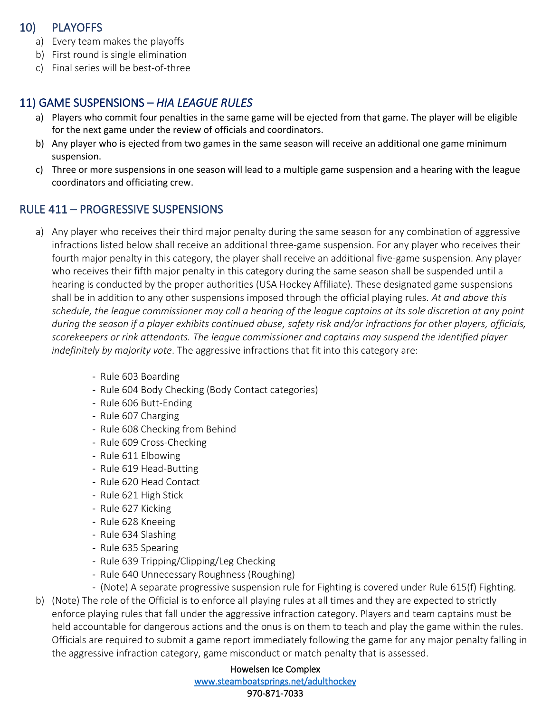#### 10) PLAYOFFS

- a) Every team makes the playoffs
- b) First round is single elimination
- c) Final series will be best-of-three

### 11) GAME SUSPENSIONS – *HIA LEAGUE RULES*

- a) Players who commit four penalties in the same game will be ejected from that game. The player will be eligible for the next game under the review of officials and coordinators.
- b) Any player who is ejected from two games in the same season will receive an additional one game minimum suspension.
- c) Three or more suspensions in one season will lead to a multiple game suspension and a hearing with the league coordinators and officiating crew.

### RULE 411 – PROGRESSIVE SUSPENSIONS

- a) Any player who receives their third major penalty during the same season for any combination of aggressive infractions listed below shall receive an additional three-game suspension. For any player who receives their fourth major penalty in this category, the player shall receive an additional five-game suspension. Any player who receives their fifth major penalty in this category during the same season shall be suspended until a hearing is conducted by the proper authorities (USA Hockey Affiliate). These designated game suspensions shall be in addition to any other suspensions imposed through the official playing rules. *At and above this schedule, the league commissioner may call a hearing of the league captains at its sole discretion at any point during the season if a player exhibits continued abuse, safety risk and/or infractions for other players, officials, scorekeepers or rink attendants. The league commissioner and captains may suspend the identified player indefinitely by majority vote*. The aggressive infractions that fit into this category are:
	- Rule 603 Boarding
	- Rule 604 Body Checking (Body Contact categories)
	- Rule 606 Butt-Ending
	- Rule 607 Charging
	- Rule 608 Checking from Behind
	- Rule 609 Cross-Checking
	- Rule 611 Elbowing
	- Rule 619 Head-Butting
	- Rule 620 Head Contact
	- Rule 621 High Stick
	- Rule 627 Kicking
	- Rule 628 Kneeing
	- Rule 634 Slashing
	- Rule 635 Spearing
	- Rule 639 Tripping/Clipping/Leg Checking
	- Rule 640 Unnecessary Roughness (Roughing)
	- (Note) A separate progressive suspension rule for Fighting is covered under Rule 615(f) Fighting.
- b) (Note) The role of the Official is to enforce all playing rules at all times and they are expected to strictly enforce playing rules that fall under the aggressive infraction category. Players and team captains must be held accountable for dangerous actions and the onus is on them to teach and play the game within the rules. Officials are required to submit a game report immediately following the game for any major penalty falling in the aggressive infraction category, game misconduct or match penalty that is assessed.

Howelsen Ice Complex [www.steamboatsprings.net/adulthockey](http://www.steamboatsprings.net/adulthockey)  970-871-7033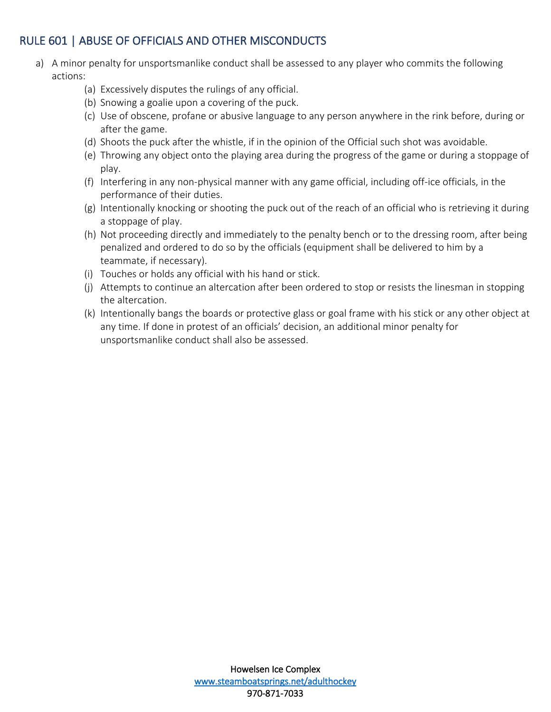### RULE 601 | ABUSE OF OFFICIALS AND OTHER MISCONDUCTS

- a) A minor penalty for unsportsmanlike conduct shall be assessed to any player who commits the following actions:
	- (a) Excessively disputes the rulings of any official.
	- (b) Snowing a goalie upon a covering of the puck.
	- (c) Use of obscene, profane or abusive language to any person anywhere in the rink before, during or after the game.
	- (d) Shoots the puck after the whistle, if in the opinion of the Official such shot was avoidable.
	- (e) Throwing any object onto the playing area during the progress of the game or during a stoppage of play.
	- (f) Interfering in any non-physical manner with any game official, including off-ice officials, in the performance of their duties.
	- (g) Intentionally knocking or shooting the puck out of the reach of an official who is retrieving it during a stoppage of play.
	- (h) Not proceeding directly and immediately to the penalty bench or to the dressing room, after being penalized and ordered to do so by the officials (equipment shall be delivered to him by a teammate, if necessary).
	- (i) Touches or holds any official with his hand or stick.
	- (j) Attempts to continue an altercation after been ordered to stop or resists the linesman in stopping the altercation.
	- (k) Intentionally bangs the boards or protective glass or goal frame with his stick or any other object at any time. If done in protest of an officials' decision, an additional minor penalty for unsportsmanlike conduct shall also be assessed.